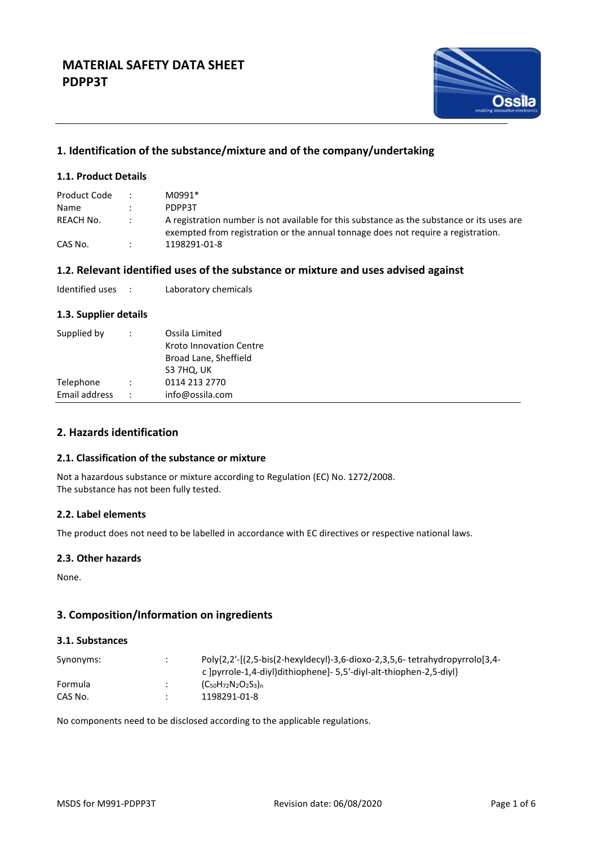

# **1. Identification of the substance/mixture and of the company/undertaking**

# **1.1. Product Details**

| Product Code |        | M0991*                                                                                                                                                                          |
|--------------|--------|---------------------------------------------------------------------------------------------------------------------------------------------------------------------------------|
| <b>Name</b>  |        | PDPP3T                                                                                                                                                                          |
| REACH No.    | $\sim$ | A registration number is not available for this substance as the substance or its uses are<br>exempted from registration or the annual tonnage does not require a registration. |
| CAS No.      |        | 1198291-01-8                                                                                                                                                                    |

## **1.2. Relevant identified uses of the substance or mixture and uses advised against**

| Identified uses |  | Laboratory chemicals |
|-----------------|--|----------------------|
|-----------------|--|----------------------|

### **1.3. Supplier details**

| 0114 213 2770<br>Telephone<br>Email address<br>info@ossila.com | Supplied by | ÷ | Ossila Limited<br>Kroto Innovation Centre<br>Broad Lane, Sheffield<br>S3 7HQ, UK |
|----------------------------------------------------------------|-------------|---|----------------------------------------------------------------------------------|
|                                                                |             |   |                                                                                  |
|                                                                |             |   |                                                                                  |

# **2. Hazards identification**

### **2.1. Classification of the substance or mixture**

Not a hazardous substance or mixture according to Regulation (EC) No. 1272/2008. The substance has not been fully tested.

## **2.2. Label elements**

The product does not need to be labelled in accordance with EC directives or respective national laws.

# **2.3. Other hazards**

None.

# **3. Composition/Information on ingredients**

### **3.1. Substances**

| Synonyms: | $\cdot$ | c lpyrrole-1.4-divl)dithiophenel- 5.5'-divl-alt-thiophen-2.5-divl} |
|-----------|---------|--------------------------------------------------------------------|
| Formula   |         | $(C_{50}H_{72}N_2O_2S_3)_n$                                        |
| CAS No.   |         | 1198291-01-8                                                       |

No components need to be disclosed according to the applicable regulations.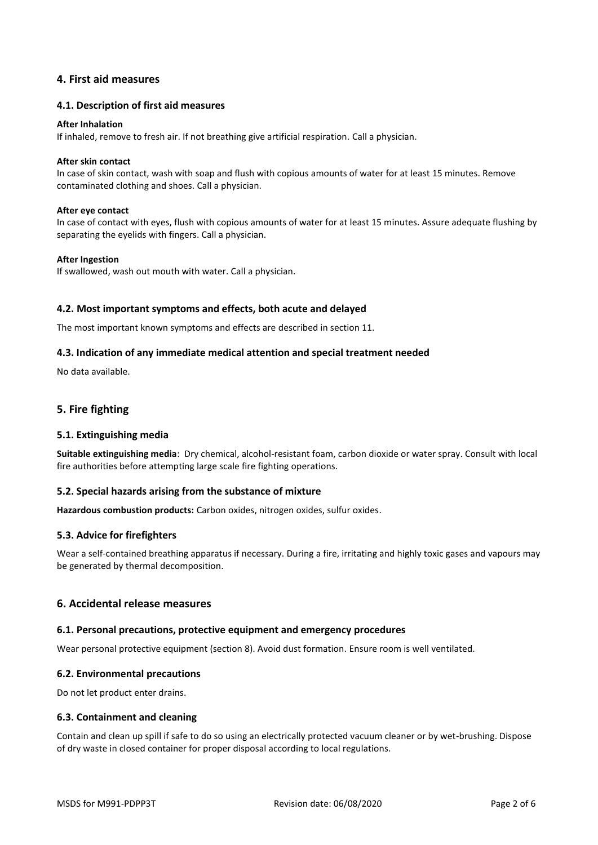# **4. First aid measures**

### **4.1. Description of first aid measures**

#### **After Inhalation**

If inhaled, remove to fresh air. If not breathing give artificial respiration. Call a physician.

#### **After skin contact**

In case of skin contact, wash with soap and flush with copious amounts of water for at least 15 minutes. Remove contaminated clothing and shoes. Call a physician.

#### **After eye contact**

In case of contact with eyes, flush with copious amounts of water for at least 15 minutes. Assure adequate flushing by separating the eyelids with fingers. Call a physician.

### **After Ingestion**

If swallowed, wash out mouth with water. Call a physician.

### **4.2. Most important symptoms and effects, both acute and delayed**

The most important known symptoms and effects are described in section 11.

### **4.3. Indication of any immediate medical attention and special treatment needed**

No data available.

# **5. Fire fighting**

### **5.1. Extinguishing media**

**Suitable extinguishing media**: Dry chemical, alcohol-resistant foam, carbon dioxide or water spray. Consult with local fire authorities before attempting large scale fire fighting operations.

### **5.2. Special hazards arising from the substance of mixture**

**Hazardous combustion products:** Carbon oxides, nitrogen oxides, sulfur oxides.

### **5.3. Advice for firefighters**

Wear a self-contained breathing apparatus if necessary. During a fire, irritating and highly toxic gases and vapours may be generated by thermal decomposition.

## **6. Accidental release measures**

### **6.1. Personal precautions, protective equipment and emergency procedures**

Wear personal protective equipment (section 8). Avoid dust formation. Ensure room is well ventilated.

### **6.2. Environmental precautions**

Do not let product enter drains.

### **6.3. Containment and cleaning**

Contain and clean up spill if safe to do so using an electrically protected vacuum cleaner or by wet-brushing. Dispose of dry waste in closed container for proper disposal according to local regulations.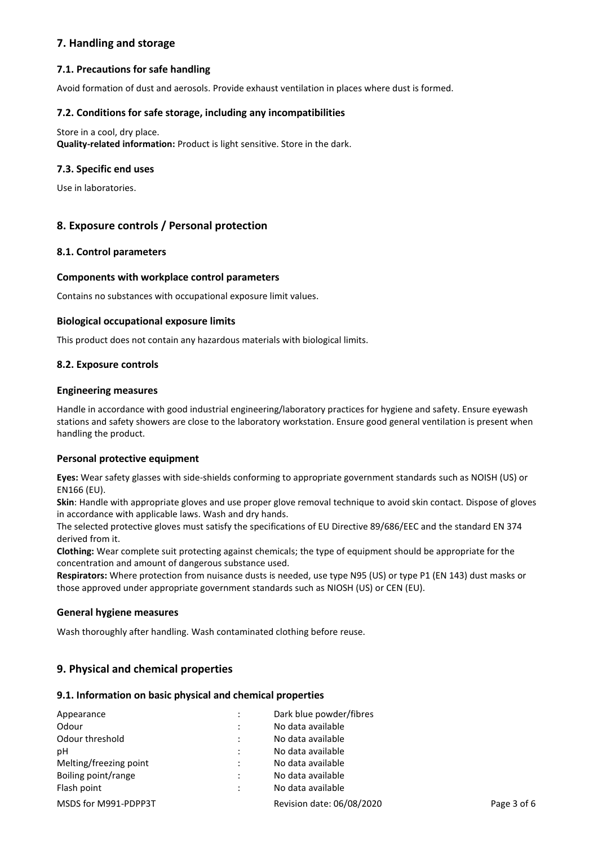# **7. Handling and storage**

# **7.1. Precautions for safe handling**

Avoid formation of dust and aerosols. Provide exhaust ventilation in places where dust is formed.

### **7.2. Conditions for safe storage, including any incompatibilities**

Store in a cool, dry place.

**Quality-related information:** Product is light sensitive. Store in the dark.

### **7.3. Specific end uses**

Use in laboratories.

# **8. Exposure controls / Personal protection**

## **8.1. Control parameters**

### **Components with workplace control parameters**

Contains no substances with occupational exposure limit values.

### **Biological occupational exposure limits**

This product does not contain any hazardous materials with biological limits.

### **8.2. Exposure controls**

### **Engineering measures**

Handle in accordance with good industrial engineering/laboratory practices for hygiene and safety. Ensure eyewash stations and safety showers are close to the laboratory workstation. Ensure good general ventilation is present when handling the product.

### **Personal protective equipment**

**Eyes:** Wear safety glasses with side-shields conforming to appropriate government standards such as NOISH (US) or EN166 (EU).

**Skin**: Handle with appropriate gloves and use proper glove removal technique to avoid skin contact. Dispose of gloves in accordance with applicable laws. Wash and dry hands.

The selected protective gloves must satisfy the specifications of EU Directive 89/686/EEC and the standard EN 374 derived from it.

**Clothing:** Wear complete suit protecting against chemicals; the type of equipment should be appropriate for the concentration and amount of dangerous substance used.

**Respirators:** Where protection from nuisance dusts is needed, use type N95 (US) or type P1 (EN 143) dust masks or those approved under appropriate government standards such as NIOSH (US) or CEN (EU).

# **General hygiene measures**

Wash thoroughly after handling. Wash contaminated clothing before reuse.

# **9. Physical and chemical properties**

### **9.1. Information on basic physical and chemical properties**

| Appearance             |           | Dark blue powder/fibres   |             |
|------------------------|-----------|---------------------------|-------------|
| Odour                  | ٠         | No data available         |             |
| Odour threshold        | $\bullet$ | No data available         |             |
| рH                     |           | No data available         |             |
| Melting/freezing point |           | No data available         |             |
| Boiling point/range    |           | No data available         |             |
| Flash point            |           | No data available         |             |
| MSDS for M991-PDPP3T   |           | Revision date: 06/08/2020 | Page 3 of 6 |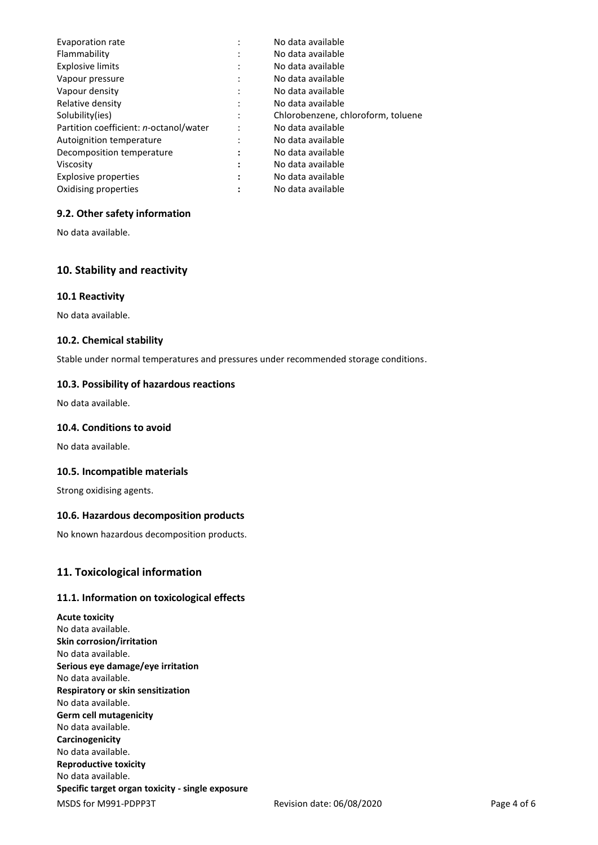| Evaporation rate                               | ٠                         | No data available                  |
|------------------------------------------------|---------------------------|------------------------------------|
| Flammability                                   | ٠                         | No data available                  |
| <b>Explosive limits</b>                        |                           | No data available                  |
| Vapour pressure                                | $\cdot$                   | No data available                  |
| Vapour density                                 | $\cdot$                   | No data available                  |
| Relative density                               | $\cdot$                   | No data available                  |
| Solubility(ies)                                |                           | Chlorobenzene, chloroform, toluene |
| Partition coefficient: <i>n</i> -octanol/water | $\bullet$                 | No data available                  |
| Autoignition temperature                       | ٠<br>$\lambda$            | No data available                  |
| Decomposition temperature                      | ٠<br>$\ddot{\phantom{0}}$ | No data available                  |
| Viscosity                                      | ٠<br>٠                    | No data available                  |
| Explosive properties                           | ٠<br>$\bullet$            | No data available                  |
| Oxidising properties                           |                           | No data available                  |

# **9.2. Other safety information**

No data available.

# **10. Stability and reactivity**

### **10.1 Reactivity**

No data available.

## **10.2. Chemical stability**

Stable under normal temperatures and pressures under recommended storage conditions.

### **10.3. Possibility of hazardous reactions**

No data available.

## **10.4. Conditions to avoid**

No data available.

### **10.5. Incompatible materials**

Strong oxidising agents.

### **10.6. Hazardous decomposition products**

No known hazardous decomposition products.

# **11. Toxicological information**

# **11.1. Information on toxicological effects**

MSDS for M991-PDPP3T Revision date: 06/08/2020 Page 4 of 6 **Acute toxicity** No data available. **Skin corrosion/irritation** No data available. **Serious eye damage/eye irritation** No data available. **Respiratory or skin sensitization** No data available. **Germ cell mutagenicity** No data available. **Carcinogenicity** No data available. **Reproductive toxicity** No data available. **Specific target organ toxicity - single exposure**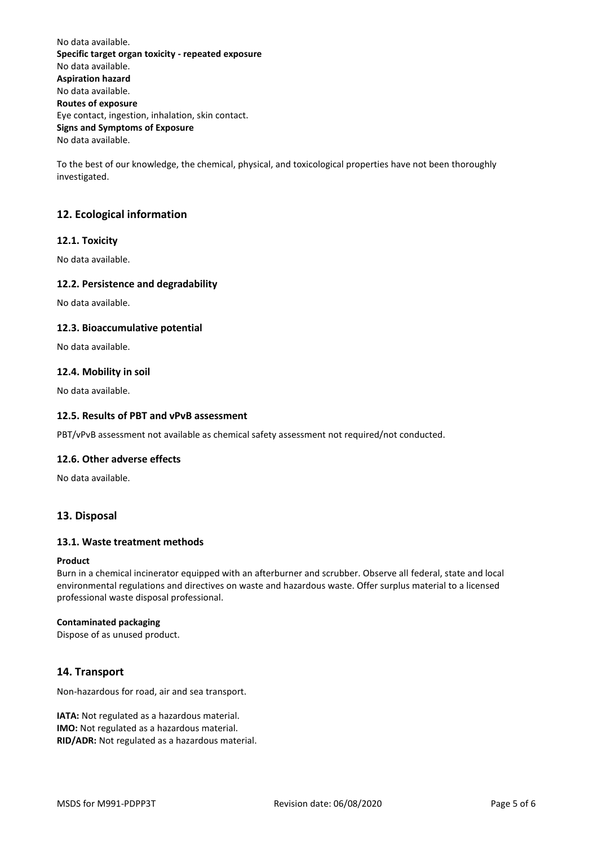No data available. **Specific target organ toxicity - repeated exposure** No data available. **Aspiration hazard** No data available. **Routes of exposure** Eye contact, ingestion, inhalation, skin contact. **Signs and Symptoms of Exposure** No data available.

To the best of our knowledge, the chemical, physical, and toxicological properties have not been thoroughly investigated.

# **12. Ecological information**

## **12.1. Toxicity**

No data available.

### **12.2. Persistence and degradability**

No data available.

### **12.3. Bioaccumulative potential**

No data available.

#### **12.4. Mobility in soil**

No data available.

### **12.5. Results of PBT and vPvB assessment**

PBT/vPvB assessment not available as chemical safety assessment not required/not conducted.

#### **12.6. Other adverse effects**

No data available.

### **13. Disposal**

### **13.1. Waste treatment methods**

#### **Product**

Burn in a chemical incinerator equipped with an afterburner and scrubber. Observe all federal, state and local environmental regulations and directives on waste and hazardous waste. Offer surplus material to a licensed professional waste disposal professional.

#### **Contaminated packaging**

Dispose of as unused product.

# **14. Transport**

Non-hazardous for road, air and sea transport.

**IATA:** Not regulated as a hazardous material. **IMO:** Not regulated as a hazardous material. **RID/ADR:** Not regulated as a hazardous material.